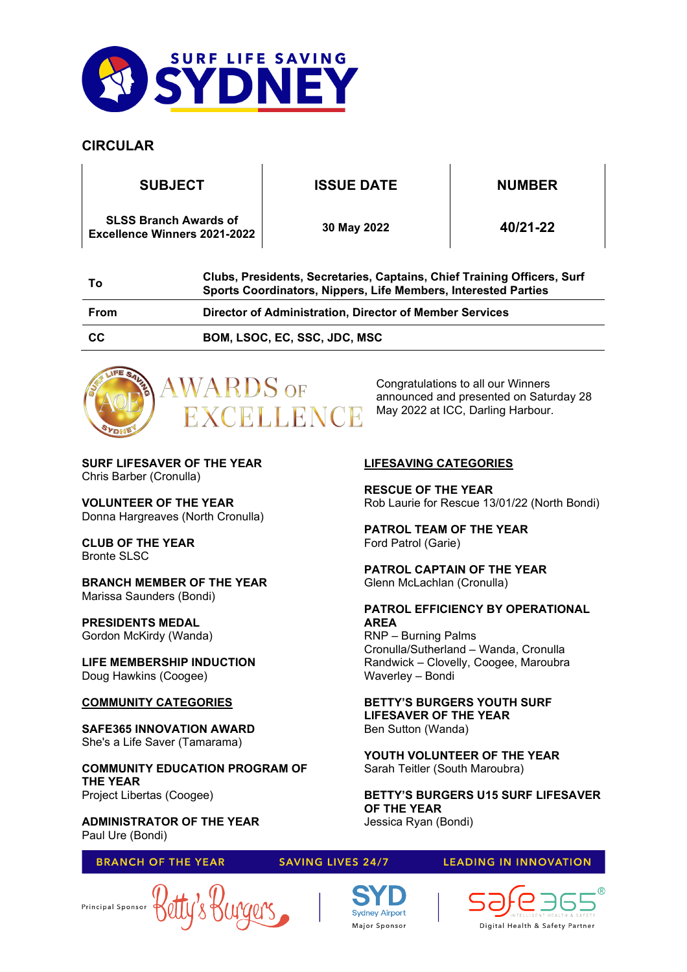

# **CIRCULAR**

**SUBJECT ISSUE DATE NUMBER**

**SLSS Branch Awards of Excellence Winners 2021-2022 <sup>30</sup> May 2022 40/21-22**

| Τo        | Clubs, Presidents, Secretaries, Captains, Chief Training Officers, Surf<br>Sports Coordinators, Nippers, Life Members, Interested Parties |
|-----------|-------------------------------------------------------------------------------------------------------------------------------------------|
| From      | Director of Administration, Director of Member Services                                                                                   |
| <b>CC</b> | <b>BOM, LSOC, EC, SSC, JDC, MSC</b>                                                                                                       |



Congratulations to all our Winners announced and presented on Saturday 28 May 2022 at ICC, Darling Harbour.

Rob Laurie for Rescue 13/01/22 (North Bondi)

**PATROL EFFICIENCY BY OPERATIONAL** 

Cronulla/Sutherland – Wanda, Cronulla Randwick – Clovelly, Coogee, Maroubra

**BETTY'S BURGERS YOUTH SURF** 

**YOUTH VOLUNTEER OF THE YEAR**

**BETTY'S BURGERS U15 SURF LIFESAVER** 

**LIFESAVER OF THE YEAR** 

Sarah Teitler (South Maroubra)

**LIFESAVING CATEGORIES**

**PATROL TEAM OF THE YEAR**

Glenn McLachlan (Cronulla)

RNP – Burning Palms

Waverley – Bondi

Ben Sutton (Wanda)

**OF THE YEAR** Jessica Ryan (Bondi)

**PATROL CAPTAIN OF THE YEAR**

**RESCUE OF THE YEAR**

Ford Patrol (Garie)

**AREA**

**SURF LIFESAVER OF THE YEAR** Chris Barber (Cronulla)

**VOLUNTEER OF THE YEAR** Donna Hargreaves (North Cronulla)

**CLUB OF THE YEAR** Bronte SLSC

## **BRANCH MEMBER OF THE YEAR** Marissa Saunders (Bondi)

**PRESIDENTS MEDAL** Gordon McKirdy (Wanda)

**LIFE MEMBERSHIP INDUCTION** Doug Hawkins (Coogee)

# **COMMUNITY CATEGORIES**

**SAFE365 INNOVATION AWARD**  She's a Life Saver (Tamarama)

**COMMUNITY EDUCATION PROGRAM OF THE YEAR** Project Libertas (Coogee)

**ADMINISTRATOR OF THE YEAR** Paul Ure (Bondi)

## **BRANCH OF THE YEAR**

## **SAVING LIVES 24/7**

**LEADING IN INNOVATION** 



Digital Health & Safety Partner

Principal Sponsor